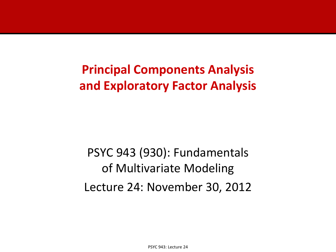# **Principal Components Analysis and Exploratory Factor Analysis**

PSYC 943 (930): Fundamentals of Multivariate Modeling Lecture 24: November 30, 2012

PSYC 943: Lecture 24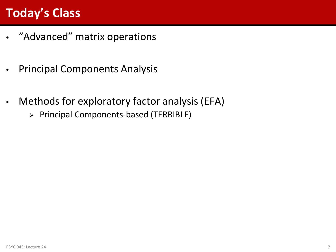# **Today's Class**

- "Advanced" matrix operations
- Principal Components Analysis
- Methods for exploratory factor analysis (EFA)
	- Principal Components-based (TERRIBLE)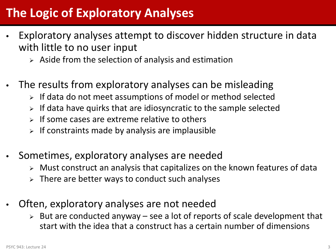# **The Logic of Exploratory Analyses**

- Exploratory analyses attempt to discover hidden structure in data with little to no user input
	- $\triangleright$  Aside from the selection of analysis and estimation
- The results from exploratory analyses can be misleading
	- $\triangleright$  If data do not meet assumptions of model or method selected
	- If data have quirks that are idiosyncratic to the sample selected
	- $\triangleright$  If some cases are extreme relative to others
	- If constraints made by analysis are implausible
- Sometimes, exploratory analyses are needed
	- Must construct an analysis that capitalizes on the known features of data
	- $\triangleright$  There are better ways to conduct such analyses
- Often, exploratory analyses are not needed
	- $\triangleright$  But are conducted anyway see a lot of reports of scale development that start with the idea that a construct has a certain number of dimensions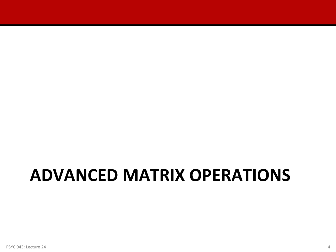# **ADVANCED MATRIX OPERATIONS**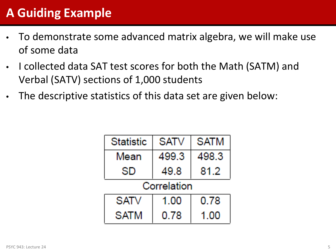# **A Guiding Example**

- To demonstrate some advanced matrix algebra, we will make use of some data
- I collected data SAT test scores for both the Math (SATM) and Verbal (SATV) sections of 1,000 students
- The descriptive statistics of this data set are given below:

| <b>Statistic</b> | <b>SATV</b>  | <b>SATM</b> |  |
|------------------|--------------|-------------|--|
| Mean             | 499.3        | 498.3       |  |
| SD               | 81.2<br>49.8 |             |  |
| Correlation      |              |             |  |
| <b>SATV</b>      | 1.00         | 0.78        |  |
| <b>SATM</b>      | 0.78         | 1.00        |  |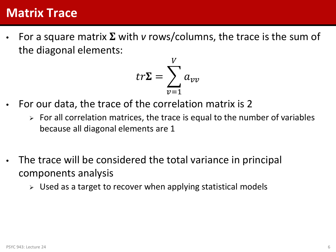#### **Matrix Trace**

For a square matrix  $\Sigma$  with *v* rows/columns, the trace is the sum of the diagonal elements:

$$
tr\Sigma = \sum_{\nu=1}^{V} a_{\nu\nu}
$$

- For our data, the trace of the correlation matrix is 2
	- $\triangleright$  For all correlation matrices, the trace is equal to the number of variables because all diagonal elements are 1
- The trace will be considered the total variance in principal components analysis
	- $\triangleright$  Used as a target to recover when applying statistical models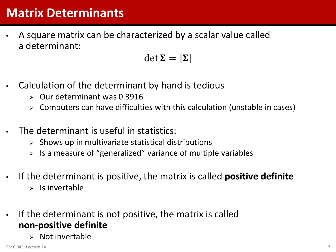### **Matrix Determinants**

• A square matrix can be characterized by a scalar value called a determinant:

$$
\det \Sigma = |\Sigma|
$$

- Calculation of the determinant by hand is tedious
	- $\geq$  Our determinant was 0.3916
	- Computers can have difficulties with this calculation (unstable in cases)
- The determinant is useful in statistics:
	- Shows up in multivariate statistical distributions
	- $\triangleright$  Is a measure of "generalized" variance of multiple variables
- If the determinant is positive, the matrix is called **positive definite**
	- $\triangleright$  Is invertable
- If the determinant is not positive, the matrix is called **non-positive definite**
	- Not invertable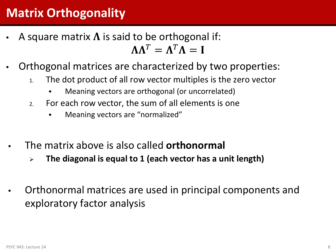# **Matrix Orthogonality**

- A square matrix  $\Lambda$  is said to be orthogonal if:  $\Lambda \Lambda^T = \Lambda^T \Lambda = I$
- Orthogonal matrices are characterized by two properties:
	- 1. The dot product of all row vector multiples is the zero vector
		- Meaning vectors are orthogonal (or uncorrelated)
	- 2. For each row vector, the sum of all elements is one
		- Meaning vectors are "normalized"
- The matrix above is also called **orthonormal**
	- **The diagonal is equal to 1 (each vector has a unit length)**
- Orthonormal matrices are used in principal components and exploratory factor analysis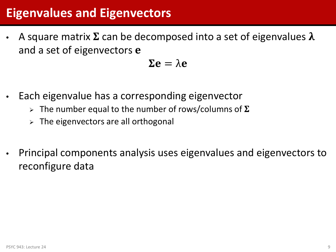# **Eigenvalues and Eigenvectors**

A square matrix  $\Sigma$  can be decomposed into a set of eigenvalues  $\lambda$ and a set of eigenvectors e

 $\Sigma$ e =  $\lambda$ e

- Each eigenvalue has a corresponding eigenvector
	- $\triangleright$  The number equal to the number of rows/columns of  $\Sigma$
	- $\triangleright$  The eigenvectors are all orthogonal
- Principal components analysis uses eigenvalues and eigenvectors to reconfigure data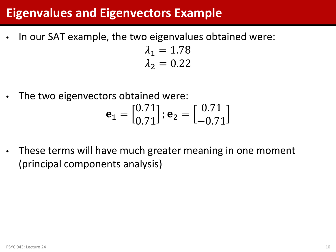### **Eigenvalues and Eigenvectors Example**

In our SAT example, the two eigenvalues obtained were:

 $\lambda_1 = 1.78$  $\lambda_2 = 0.22$ 

The two eigenvectors obtained were:

$$
\mathbf{e}_1 = \begin{bmatrix} 0.71 \\ 0.71 \end{bmatrix}; \mathbf{e}_2 = \begin{bmatrix} 0.71 \\ -0.71 \end{bmatrix}
$$

These terms will have much greater meaning in one moment (principal components analysis)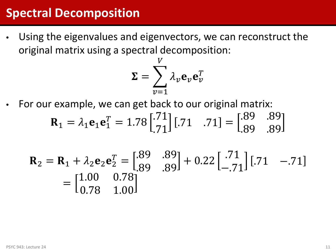#### **Spectral Decomposition**

• Using the eigenvalues and eigenvectors, we can reconstruct the original matrix using a spectral decomposition:

$$
\Sigma = \sum_{\nu=1}^{V} \lambda_{\nu} \mathbf{e}_{\nu} \mathbf{e}_{\nu}^{T}
$$

For our example, we can get back to our original matrix:

$$
\mathbf{R}_1 = \lambda_1 \mathbf{e}_1 \mathbf{e}_1^T = 1.78 \begin{bmatrix} .71 \\ .71 \end{bmatrix} [.71 \quad .71] = \begin{bmatrix} .89 & .89 \\ .89 & .89 \end{bmatrix}
$$

$$
\mathbf{R}_2 = \mathbf{R}_1 + \lambda_2 \mathbf{e}_2 \mathbf{e}_2^T = \begin{bmatrix} .89 & .89 \\ .89 & .89 \end{bmatrix} + 0.22 \begin{bmatrix} .71 \\ -.71 \end{bmatrix} \begin{bmatrix} .71 & -.71 \end{bmatrix}
$$

$$
= \begin{bmatrix} 1.00 & 0.78 \\ 0.78 & 1.00 \end{bmatrix}
$$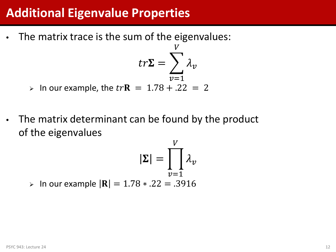#### **Additional Eigenvalue Properties**

• The matrix trace is the sum of the eigenvalues:

$$
tr\Sigma = \sum_{v=1}^{v} \lambda_v
$$

T T

 $>$  In our example, the  $tr$ **R** = 1.78 + .22 = 2

• The matrix determinant can be found by the product of the eigenvalues

$$
|\Sigma| = \prod_{v=1}^{V} \lambda_v
$$
  
\n> In our example  $|\mathbf{R}| = 1.78 * .22 = .3916$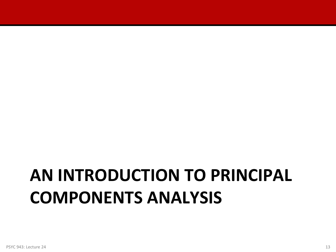# **AN INTRODUCTION TO PRINCIPAL COMPONENTS ANALYSIS**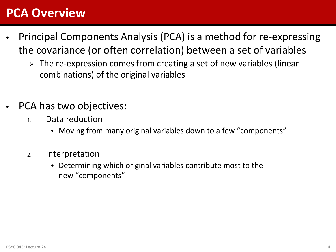#### **PCA Overview**

- Principal Components Analysis (PCA) is a method for re-expressing the covariance (or often correlation) between a set of variables
	- > The re-expression comes from creating a set of new variables (linear combinations) of the original variables
- PCA has two objectives:
	- 1. Data reduction
		- Moving from many original variables down to a few "components"
	- 2. Interpretation
		- Determining which original variables contribute most to the new "components"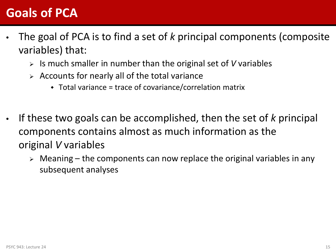### **Goals of PCA**

- The goal of PCA is to find a set of *k* principal components (composite variables) that:
	- Is much smaller in number than the original set of *V* variables
	- $\triangleright$  Accounts for nearly all of the total variance
		- $\bullet$  Total variance = trace of covariance/correlation matrix
- If these two goals can be accomplished, then the set of *k* principal components contains almost as much information as the original *V* variables
	- $\triangleright$  Meaning the components can now replace the original variables in any subsequent analyses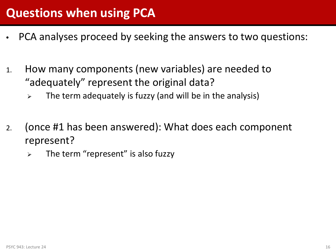- PCA analyses proceed by seeking the answers to two questions:
- 1. How many components (new variables) are needed to "adequately" represent the original data?
	- $\triangleright$  The term adequately is fuzzy (and will be in the analysis)
- 2. (once #1 has been answered): What does each component represent?
	- $\triangleright$  The term "represent" is also fuzzy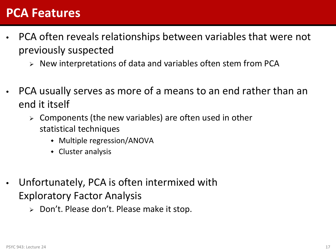#### **PCA Features**

- PCA often reveals relationships between variables that were not previously suspected
	- $\triangleright$  New interpretations of data and variables often stem from PCA
- PCA usually serves as more of a means to an end rather than an end it itself
	- $\triangleright$  Components (the new variables) are often used in other statistical techniques
		- Multiple regression/ANOVA
		- Cluster analysis
- Unfortunately, PCA is often intermixed with Exploratory Factor Analysis
	- $\triangleright$  Don't. Please don't. Please make it stop.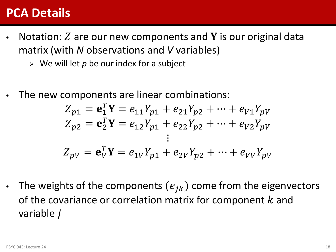#### **PCA Details**

- Notation:  $Z$  are our new components and Y is our original data matrix (with *N* observations and *V* variables)
	- $\triangleright$  We will let p be our index for a subject
- The new components are linear combinations:

$$
Z_{p1} = \mathbf{e}_1^T \mathbf{Y} = e_{11} Y_{p1} + e_{21} Y_{p2} + \dots + e_{V1} Y_{pV}
$$
  
\n
$$
Z_{p2} = \mathbf{e}_2^T \mathbf{Y} = e_{12} Y_{p1} + e_{22} Y_{p2} + \dots + e_{V2} Y_{pV}
$$
  
\n:  
\n:  
\n:  
\n
$$
Z_{pV} = \mathbf{e}_V^T \mathbf{Y} = e_{1V} Y_{p1} + e_{2V} Y_{p2} + \dots + e_{VV} Y_{pV}
$$

The weights of the components  $(e_{ik})$  come from the eigenvectors of the covariance or correlation matrix for component  $k$  and variable *j*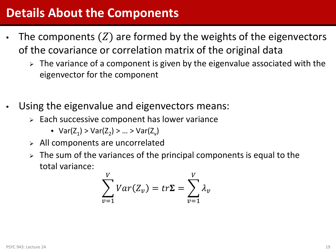### **Details About the Components**

- The components  $(Z)$  are formed by the weights of the eigenvectors of the covariance or correlation matrix of the original data
	- $\triangleright$  The variance of a component is given by the eigenvalue associated with the eigenvector for the component
- Using the eigenvalue and eigenvectors means:
	- $\triangleright$  Each successive component has lower variance
		- $Var(Z_1) > Var(Z_2) > ... > Var(Z_n)$
	- $\triangleright$  All components are uncorrelated
	- $\geq$  The sum of the variances of the principal components is equal to the total variance:

$$
\sum_{v=1}^{V} Var(Z_v) = tr\Sigma = \sum_{v=1}^{V} \lambda_v
$$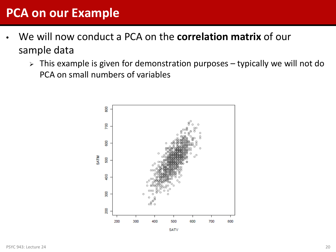### **PCA on our Example**

- We will now conduct a PCA on the **correlation matrix** of our sample data
	- $\triangleright$  This example is given for demonstration purposes typically we will not do PCA on small numbers of variables



**SATV**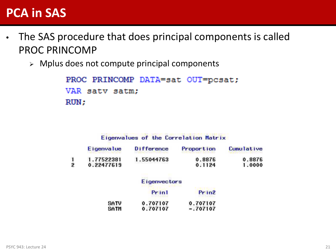#### **PCA in SAS**

- The SAS procedure that does principal components is called PROC PRINCOMP
	- $\triangleright$  Mplus does not compute principal components

```
PROC PRINCOMP DATA=sat OUT=pcsat;
VAR satv satm;
RUN;
```
#### Eigenvalues of the Correlation Matrix

| 0.8876                   | 0.8876<br>1.0000     |
|--------------------------|----------------------|
| 1.77522381<br>0.22477619 | 1.55044763<br>0.1124 |

#### Eigenvectors

|      | Print<br>こうこう スペインファイ | Prin <sub>2</sub> |  |
|------|-----------------------|-------------------|--|
| SATV | 0.707107              | 0.707107          |  |
| SATM | 0.707107              | $-.707107$        |  |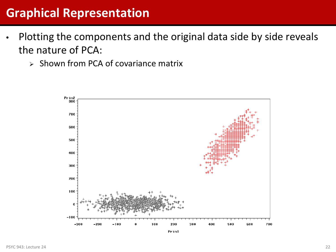# **Graphical Representation**

- Plotting the components and the original data side by side reveals the nature of PCA:
	- $\geq$  Shown from PCA of covariance matrix

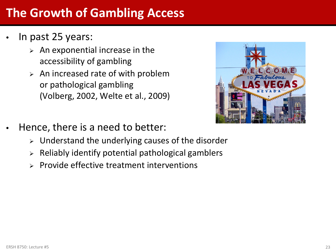# **The Growth of Gambling Access**

- In past 25 years:
	- $\triangleright$  An exponential increase in the accessibility of gambling
	- $\triangleright$  An increased rate of with problem or pathological gambling (Volberg, 2002, Welte et al., 2009)



- Hence, there is a need to better:
	- $\triangleright$  Understand the underlying causes of the disorder
	- $\triangleright$  Reliably identify potential pathological gamblers
	- $\triangleright$  Provide effective treatment interventions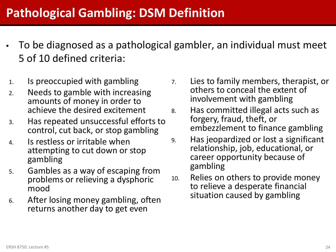# **Pathological Gambling: DSM Definition**

- To be diagnosed as a pathological gambler, an individual must meet 5 of 10 defined criteria:
- 1. Is preoccupied with gambling
- 2. Needs to gamble with increasing amounts of money in order to achieve the desired excitement
- 3. Has repeated unsuccessful efforts to control, cut back, or stop gambling
- 4. Is restless or irritable when attempting to cut down or stop gambling
- 5. Gambles as a way of escaping from problems or relieving a dysphoric mood
- 6. After losing money gambling, often returns another day to get even
- 7. Lies to family members, therapist, or others to conceal the extent of involvement with gambling
- 8. Has committed illegal acts such as forgery, fraud, theft, or embezzlement to finance gambling
- 9. Has jeopardized or lost a significant relationship, job, educational, or career opportunity because of gambling
- 10. Relies on others to provide money to relieve a desperate financial situation caused by gambling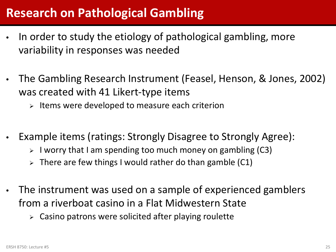# **Research on Pathological Gambling**

- In order to study the etiology of pathological gambling, more variability in responses was needed
- The Gambling Research Instrument (Feasel, Henson, & Jones, 2002) was created with 41 Likert-type items
	- $\triangleright$  Items were developed to measure each criterion
- Example items (ratings: Strongly Disagree to Strongly Agree):
	- $\triangleright$  I worry that I am spending too much money on gambling (C3)
	- $\triangleright$  There are few things I would rather do than gamble (C1)
- The instrument was used on a sample of experienced gamblers from a riverboat casino in a Flat Midwestern State
	- $\triangleright$  Casino patrons were solicited after playing roulette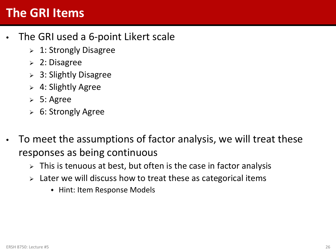#### **The GRI Items**

- The GRI used a 6-point Likert scale
	- > 1: Strongly Disagree
	- 2: Disagree
	- $> 3:$  Slightly Disagree
	- $\geq 4$ : Slightly Agree
	- $> 5:$  Agree
	- 6: Strongly Agree
- To meet the assumptions of factor analysis, we will treat these responses as being continuous
	- $\triangleright$  This is tenuous at best, but often is the case in factor analysis
	- $\ge$  Later we will discuss how to treat these as categorical items
		- Hint: Item Response Models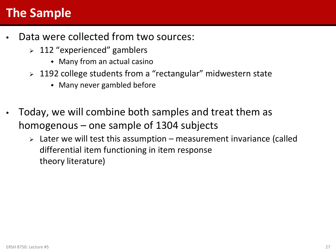# **The Sample**

- Data were collected from two sources:
	- $>$  112 "experienced" gamblers
		- Many from an actual casino
	- > 1192 college students from a "rectangular" midwestern state
		- Many never gambled before
- Today, we will combine both samples and treat them as homogenous – one sample of 1304 subjects
	- $\triangleright$  Later we will test this assumption measurement invariance (called differential item functioning in item response theory literature)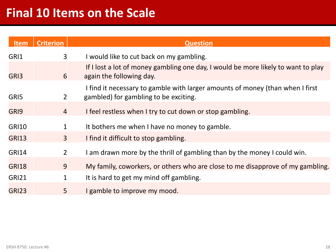| <b>Item</b>  | <b>Criterion</b> | <b>Question</b>                                                                                                        |
|--------------|------------------|------------------------------------------------------------------------------------------------------------------------|
| GRI1         | $\overline{3}$   | I would like to cut back on my gambling.                                                                               |
| GRI3         | 6                | If I lost a lot of money gambling one day, I would be more likely to want to play<br>again the following day.          |
| GRI5         | $\overline{2}$   | I find it necessary to gamble with larger amounts of money (than when I first<br>gambled) for gambling to be exciting. |
| GRI9         | $\overline{4}$   | I feel restless when I try to cut down or stop gambling.                                                               |
| <b>GRI10</b> | 1                | It bothers me when I have no money to gamble.                                                                          |
| <b>GRI13</b> | $\overline{3}$   | I find it difficult to stop gambling.                                                                                  |
| <b>GRI14</b> | $2^{\circ}$      | I am drawn more by the thrill of gambling than by the money I could win.                                               |
| <b>GRI18</b> | 9                | My family, coworkers, or others who are close to me disapprove of my gambling.                                         |
| <b>GRI21</b> | 1                | It is hard to get my mind off gambling.                                                                                |
| <b>GRI23</b> | 5                | I gamble to improve my mood.                                                                                           |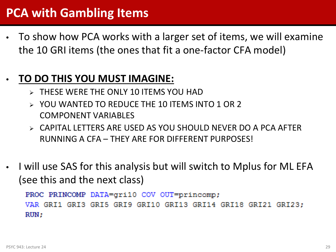# **PCA with Gambling Items**

• To show how PCA works with a larger set of items, we will examine the 10 GRI items (the ones that fit a one-factor CFA model)

#### • **TO DO THIS YOU MUST IMAGINE:**

- **EXAMPLE SET WERE THE ONLY 10 ITEMS YOU HAD**
- YOU WANTED TO REDUCE THE 10 ITEMS INTO 1 OR 2 COMPONENT VARIABLES
- $\triangleright$  CAPITAL LETTERS ARE USED AS YOU SHOULD NEVER DO A PCA AFTER RUNNING A CFA – THEY ARE FOR DIFFERENT PURPOSES!
- I will use SAS for this analysis but will switch to Mplus for ML EFA (see this and the next class)

PROC PRINCOMP DATA=qri10 COV OUT=princomp; VAR GRI1 GRI3 GRI5 GRI9 GRI10 GRI13 GRI14 GRI18 GRI21 GRI23:  $RUN:$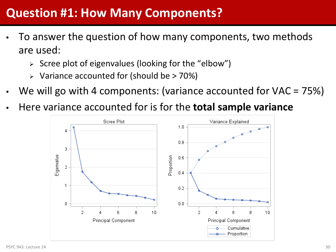## **Question #1: How Many Components?**

- To answer the question of how many components, two methods are used:
	- $\triangleright$  Scree plot of eigenvalues (looking for the "elbow")
	- $\triangleright$  Variance accounted for (should be  $> 70\%$ )
- We will go with 4 components: (variance accounted for VAC = 75%)
- Here variance accounted for is for the **total sample variance**

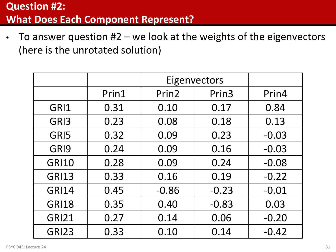• To answer question #2 – we look at the weights of the eigenvectors (here is the unrotated solution)

|              |       | Eigenvectors      |         |         |
|--------------|-------|-------------------|---------|---------|
|              | Prin1 | Prin <sub>2</sub> | Prin3   | Prin4   |
| GRI1         | 0.31  | 0.10              | 0.17    | 0.84    |
| GRI3         | 0.23  | 0.08              | 0.18    | 0.13    |
| GRI5         | 0.32  | 0.09              | 0.23    | $-0.03$ |
| GRI9         | 0.24  | 0.09              | 0.16    | $-0.03$ |
| <b>GRI10</b> | 0.28  | 0.09              | 0.24    | $-0.08$ |
| <b>GRI13</b> | 0.33  | 0.16              | 0.19    | $-0.22$ |
| <b>GRI14</b> | 0.45  | $-0.86$           | $-0.23$ | $-0.01$ |
| <b>GRI18</b> | 0.35  | 0.40              | $-0.83$ | 0.03    |
| <b>GRI21</b> | 0.27  | 0.14              | 0.06    | $-0.20$ |
| <b>GRI23</b> | 0.33  | 0.10              | 0.14    | $-0.42$ |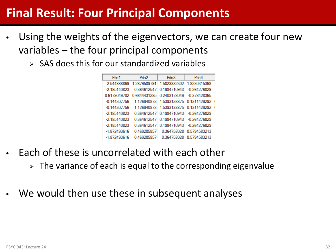## **Final Result: Four Principal Components**

- Using the weights of the eigenvectors, we can create four new variables – the four principal components
	- $\triangleright$  SAS does this for our standardized variables

| Prin 1         | Prin <sub>2</sub> | Pin <sub>3</sub> | Prin4          |  |
|----------------|-------------------|------------------|----------------|--|
| 2.544888869    | 1.2879589791      | 1.5823332302     | 1.8230315368   |  |
| $-2.185140823$ | 0.364612547       | 0.1984710943     | $-0.264276829$ |  |
| 0.6179049702   | 0.6644431285      | 0.2403178049     | -0.378428365   |  |
| $-0.144307756$ | 1.126940873       | 1.5393138875     | 0.1311429292   |  |
| $-0.144307756$ | 1.126940873       | 1.5393138875     | 0.1311429292   |  |
| -2.185140823   | 0.364612547       | 0.1984710943     | -0.264276829   |  |
| $-2.185140823$ | 0.364612547       | 0.1984710943     | $-0.264276829$ |  |
| $-2.185140823$ | 0.364612547       | 0.1984710943     | $-0.264276829$ |  |
| $-1.872493616$ | 0.469205857       | 0.364758028      | 0.5794583213   |  |
| $-1.872493616$ | 0.469205857       | 0.364758028      | 0.5794583213   |  |

- Each of these is uncorrelated with each other
	- $\triangleright$  The variance of each is equal to the corresponding eigenvalue
- We would then use these in subsequent analyses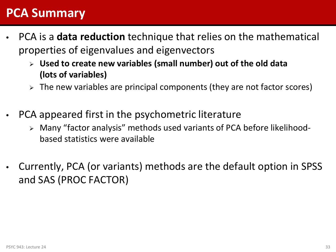#### **PCA Summary**

- PCA is a **data reduction** technique that relies on the mathematical properties of eigenvalues and eigenvectors
	- **Used to create new variables (small number) out of the old data (lots of variables)**
	- $\triangleright$  The new variables are principal components (they are not factor scores)
- PCA appeared first in the psychometric literature
	- Many "factor analysis" methods used variants of PCA before likelihoodbased statistics were available
- Currently, PCA (or variants) methods are the default option in SPSS and SAS (PROC FACTOR)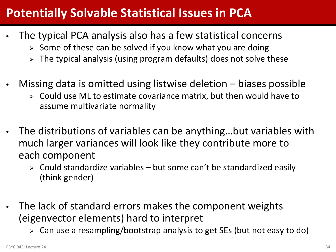# **Potentially Solvable Statistical Issues in PCA**

- The typical PCA analysis also has a few statistical concerns
	- $\geq$  Some of these can be solved if you know what you are doing
	- $\geq$  The typical analysis (using program defaults) does not solve these
- Missing data is omitted using listwise deletion biases possible
	- $\triangleright$  Could use ML to estimate covariance matrix, but then would have to assume multivariate normality
- The distributions of variables can be anything…but variables with much larger variances will look like they contribute more to each component
	- $\triangleright$  Could standardize variables but some can't be standardized easily (think gender)
- The lack of standard errors makes the component weights (eigenvector elements) hard to interpret
	- Can use a resampling/bootstrap analysis to get SEs (but not easy to do)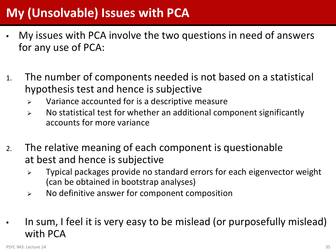# **My (Unsolvable) Issues with PCA**

- My issues with PCA involve the two questions in need of answers for any use of PCA:
- 1. The number of components needed is not based on a statistical hypothesis test and hence is subjective
	- $\triangleright$  Variance accounted for is a descriptive measure
	- $\triangleright$  No statistical test for whether an additional component significantly accounts for more variance
- 2. The relative meaning of each component is questionable at best and hence is subjective
	- $\triangleright$  Typical packages provide no standard errors for each eigenvector weight (can be obtained in bootstrap analyses)
	- $\triangleright$  No definitive answer for component composition
- In sum, I feel it is very easy to be mislead (or purposefully mislead) with PCA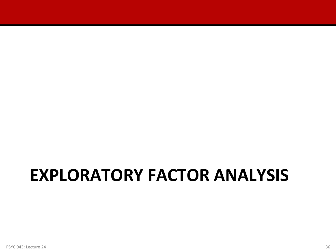# **EXPLORATORY FACTOR ANALYSIS**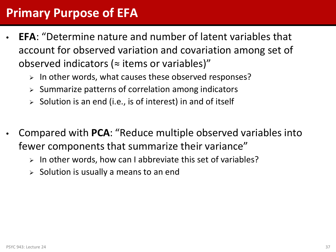### **Primary Purpose of EFA**

- **EFA**: "Determine nature and number of latent variables that account for observed variation and covariation among set of observed indicators ( $\approx$  items or variables)"
	- $\triangleright$  In other words, what causes these observed responses?
	- $\triangleright$  Summarize patterns of correlation among indicators
	- Solution is an end (i.e., is of interest) in and of itself
- Compared with **PCA**: "Reduce multiple observed variables into fewer components that summarize their variance"
	- $\triangleright$  In other words, how can I abbreviate this set of variables?
	- Solution is usually a means to an end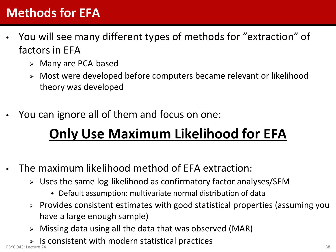## **Methods for EFA**

- You will see many different types of methods for "extraction" of factors in EFA
	- Many are PCA-based
	- Most were developed before computers became relevant or likelihood theory was developed
- You can ignore all of them and focus on one:

# **Only Use Maximum Likelihood for EFA**

- The maximum likelihood method of EFA extraction:
	- Uses the same log-likelihood as confirmatory factor analyses/SEM
		- Default assumption: multivariate normal distribution of data
	- $\triangleright$  Provides consistent estimates with good statistical properties (assuming you have a large enough sample)
	- $\triangleright$  Missing data using all the data that was observed (MAR)
- $\triangleright$  Is consistent with modern statistical practices PSYC 943: Lecture 24 **38** 38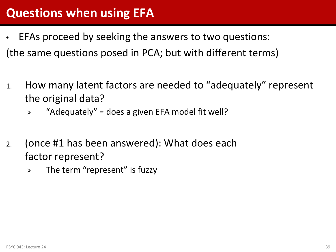### **Questions when using EFA**

- EFAs proceed by seeking the answers to two questions: (the same questions posed in PCA; but with different terms)
- 1. How many latent factors are needed to "adequately" represent the original data?
	- $\triangleright$  "Adequately" = does a given EFA model fit well?
- 2. (once #1 has been answered): What does each factor represent?
	- $\triangleright$  The term "represent" is fuzzy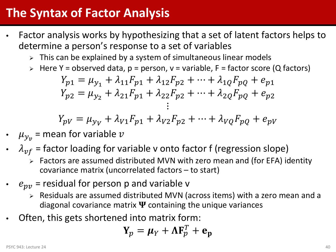### **The Syntax of Factor Analysis**

- Factor analysis works by hypothesizing that a set of latent factors helps to determine a person's response to a set of variables
	- $\triangleright$  This can be explained by a system of simultaneous linear models
	- $\triangleright$  Here Y = observed data, p = person, v = variable, F = factor score (Q factors)

$$
Y_{p1} = \mu_{y_1} + \lambda_{11}F_{p1} + \lambda_{12}F_{p2} + \dots + \lambda_{1Q}F_{pQ} + e_{p1}
$$
  
\n
$$
Y_{p2} = \mu_{y_2} + \lambda_{21}F_{p1} + \lambda_{22}F_{p2} + \dots + \lambda_{2Q}F_{pQ} + e_{p2}
$$
  
\n
$$
\vdots
$$

$$
Y_{pV} = \mu_{yV} + \lambda_{V1}F_{p1} + \lambda_{V2}F_{p2} + \dots + \lambda_{VQ}F_{pQ} + e_{pV}
$$

- $\mu_{y_v}$  = mean for variable  $v$
- $\lambda_{vf}$  = factor loading for variable v onto factor f (regression slope)
	- Factors are assumed distributed MVN with zero mean and (for EFA) identity covariance matrix (uncorrelated factors – to start)
- $e_{pv}$  = residual for person p and variable v
	- Residuals are assumed distributed MVN (across items) with a zero mean and a diagonal covariance matrix  $\Psi$  containing the unique variances
- Often, this gets shortened into matrix form:

$$
\mathbf{Y}_p = \boldsymbol{\mu}_Y + \boldsymbol{\Lambda}\mathbf{F}_p^T + \mathbf{e}_p
$$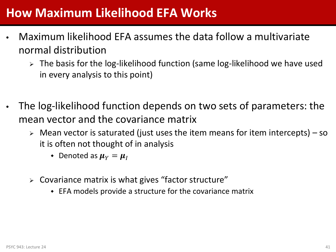### **How Maximum Likelihood EFA Works**

- Maximum likelihood EFA assumes the data follow a multivariate normal distribution
	- > The basis for the log-likelihood function (same log-likelihood we have used in every analysis to this point)
- The log-likelihood function depends on two sets of parameters: the mean vector and the covariance matrix
	- $\triangleright$  Mean vector is saturated (just uses the item means for item intercepts) so it is often not thought of in analysis
		- Denoted as  $\mu_Y = \mu_I$
	- $\triangleright$  Covariance matrix is what gives "factor structure"
		- EFA models provide a structure for the covariance matrix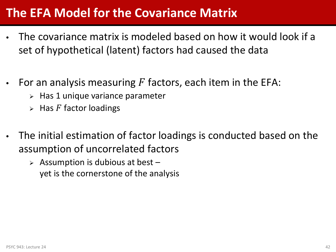### **The EFA Model for the Covariance Matrix**

- The covariance matrix is modeled based on how it would look if a set of hypothetical (latent) factors had caused the data
- For an analysis measuring  $F$  factors, each item in the EFA:
	- $\triangleright$  Has 1 unique variance parameter
	- $\triangleright$  Has F factor loadings
- The initial estimation of factor loadings is conducted based on the assumption of uncorrelated factors
	- $\triangleright$  Assumption is dubious at best yet is the cornerstone of the analysis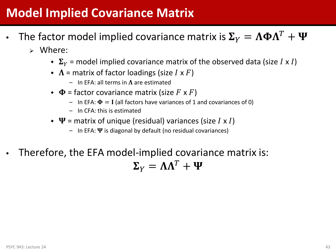### **Model Implied Covariance Matrix**

- The factor model implied covariance matrix is  $\Sigma_{V} = \Lambda \Phi \Lambda^{T} + \Psi$ 
	- Where:
		- $\bullet$   $\Sigma_{Y}$  = model implied covariance matrix of the observed data (size *I x I*)
		- $\bullet$   $\Lambda$  = matrix of factor loadings (size *I* x *F*)
			- In EFA: all terms in  $\Lambda$  are estimated
		- $\bullet$   $\Phi$  = factor covariance matrix (size F x F)
			- In EFA:  $\Phi = I$  (all factors have variances of 1 and covariances of 0)
			- In CFA: this is estimated
		- $\bullet \ \Psi$  = matrix of unique (residual) variances (size *I x I*)
			- In EFA:  $\Psi$  is diagonal by default (no residual covariances)
- Therefore, the EFA model-implied covariance matrix is:  $\Sigma_{V} = \Lambda \Lambda^{T} + \Psi$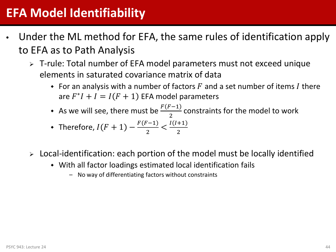### **EFA Model Identifiability**

- Under the ML method for EFA, the same rules of identification apply to EFA as to Path Analysis
	- T-rule: Total number of EFA model parameters must not exceed unique elements in saturated covariance matrix of data
		- For an analysis with a number of factors  $F$  and a set number of items I there are  $F^*I + I = I(F + 1)$  EFA model parameters
		- As we will see, there must be  $\frac{F(F-1)}{2}$ constraints for the model to work

• Therefore, 
$$
I(F + 1) - \frac{F(F-1)}{2} < \frac{I(I+1)}{2}
$$

- $\triangleright$  Local-identification: each portion of the model must be locally identified
	- With all factor loadings estimated local identification fails
		- No way of differentiating factors without constraints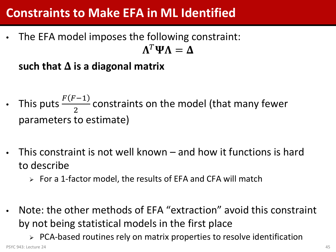### **Constraints to Make EFA in ML Identified**

• The EFA model imposes the following constraint:  $\Lambda^T \Psi \Lambda = \Lambda$ 

such that  $\Delta$  is a diagonal matrix

- This puts  $\frac{F(F-1)}{2}$  constraints on the model (that many fewer parameters to estimate)
- This constraint is not well known and how it functions is hard to describe
	- $\triangleright$  For a 1-factor model, the results of EFA and CFA will match
- Note: the other methods of EFA "extraction" avoid this constraint by not being statistical models in the first place

 $\triangleright$  PCA-based routines rely on matrix properties to resolve identification PSYC 943: Lecture 24 **45**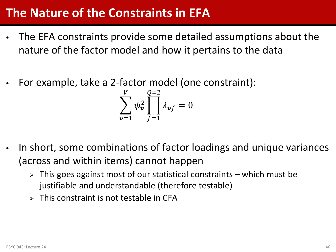### **The Nature of the Constraints in EFA**

- The EFA constraints provide some detailed assumptions about the nature of the factor model and how it pertains to the data
- For example, take a 2-factor model (one constraint):

$$
\sum_{\nu=1}^{V} \psi_{\nu}^2 \prod_{f=1}^{Q=2} \lambda_{\nu f} = 0
$$

- In short, some combinations of factor loadings and unique variances (across and within items) cannot happen
	- $\triangleright$  This goes against most of our statistical constraints which must be justifiable and understandable (therefore testable)
	- $\triangleright$  This constraint is not testable in CFA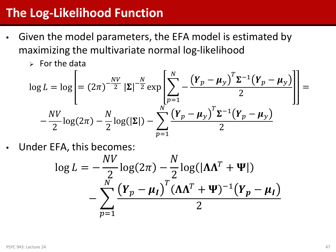### **The Log-Likelihood Function**

- Given the model parameters, the EFA model is estimated by maximizing the multivariate normal log-likelihood
	- $\triangleright$  For the data

$$
\log L = \log \left[ = (2\pi)^{-\frac{NV}{2}} |\Sigma|^{-\frac{N}{2}} \exp \left[ \sum_{p=1}^{N} -\frac{\left( Y_p - \mu_y \right)^T \Sigma^{-1} \left( Y_p - \mu_y \right)}{2} \right] \right] = -\frac{NV}{2} \log(2\pi) - \frac{N}{2} \log(|\Sigma|) - \sum_{p=1}^{N} \frac{\left( Y_p - \mu_y \right)^T \Sigma^{-1} \left( Y_p - \mu_y \right)}{2}
$$

Under EFA, this becomes:

$$
\log L = -\frac{NV}{2}\log(2\pi) - \frac{N}{2}\log(|\Lambda\Lambda^T + \Psi|)
$$

$$
-\sum_{p=1}^N \frac{(\boldsymbol{Y}_p - \boldsymbol{\mu}_I)^T (\boldsymbol{\Lambda}\Lambda^T + \boldsymbol{\Psi})^{-1}(\boldsymbol{Y}_p - \boldsymbol{\mu}_I)}{2}
$$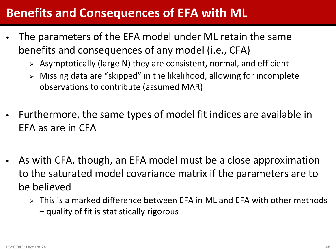### **Benefits and Consequences of EFA with ML**

- The parameters of the EFA model under ML retain the same benefits and consequences of any model (i.e., CFA)
	- $\triangleright$  Asymptotically (large N) they are consistent, normal, and efficient
	- $\triangleright$  Missing data are "skipped" in the likelihood, allowing for incomplete observations to contribute (assumed MAR)
- Furthermore, the same types of model fit indices are available in EFA as are in CFA
- As with CFA, though, an EFA model must be a close approximation to the saturated model covariance matrix if the parameters are to be believed
	- $\triangleright$  This is a marked difference between EFA in ML and EFA with other methods – quality of fit is statistically rigorous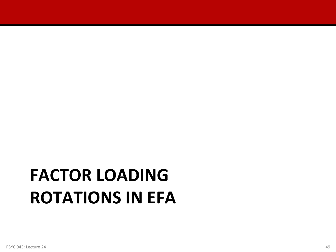# **FACTOR LOADING ROTATIONS IN EFA**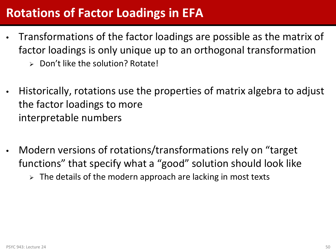### **Rotations of Factor Loadings in EFA**

- Transformations of the factor loadings are possible as the matrix of factor loadings is only unique up to an orthogonal transformation
	- $\triangleright$  Don't like the solution? Rotate!
- Historically, rotations use the properties of matrix algebra to adjust the factor loadings to more interpretable numbers
- Modern versions of rotations/transformations rely on "target functions" that specify what a "good" solution should look like
	- $\triangleright$  The details of the modern approach are lacking in most texts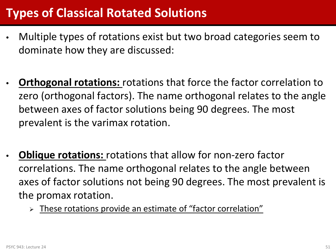### **Types of Classical Rotated Solutions**

- Multiple types of rotations exist but two broad categories seem to dominate how they are discussed:
- **Orthogonal rotations:** rotations that force the factor correlation to zero (orthogonal factors). The name orthogonal relates to the angle between axes of factor solutions being 90 degrees. The most prevalent is the varimax rotation.
- **Oblique rotations:** rotations that allow for non-zero factor correlations. The name orthogonal relates to the angle between axes of factor solutions not being 90 degrees. The most prevalent is the promax rotation.
	- These rotations provide an estimate of "factor correlation"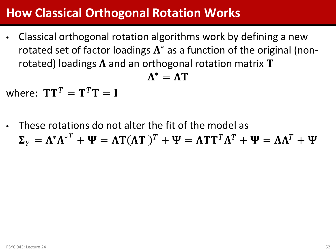### **How Classical Orthogonal Rotation Works**

• Classical orthogonal rotation algorithms work by defining a new rotated set of factor loadings  $\Lambda^*$  as a function of the original (nonrotated) loadings  $\Lambda$  and an orthogonal rotation matrix T

$$
\Lambda^* = \Lambda T
$$

where:  $TT^T = T^T T = I$ 

• These rotations do not alter the fit of the model as  $\Sigma_V = \Lambda^* \Lambda^{*T} + \Psi = \Lambda T (\Lambda T)^T + \Psi = \Lambda T T^T \Lambda^T + \Psi = \Lambda \Lambda^T + \Psi$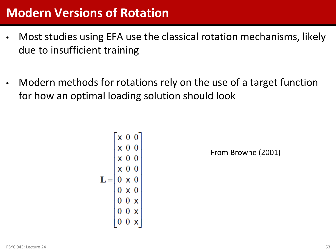### **Modern Versions of Rotation**

- Most studies using EFA use the classical rotation mechanisms, likely due to insufficient training
- Modern methods for rotations rely on the use of a target function for how an optimal loading solution should look

$$
\mathbf{L} = \begin{bmatrix} x & 0 & 0 \\ x & 0 & 0 \\ x & 0 & 0 \\ x & 0 & 0 \\ 0 & x & 0 \\ 0 & x & 0 \\ 0 & 0 & x \\ 0 & 0 & x \\ 0 & 0 & x \\ 0 & 0 & x \\ 0 & 0 & x \end{bmatrix}
$$

From Browne (2001)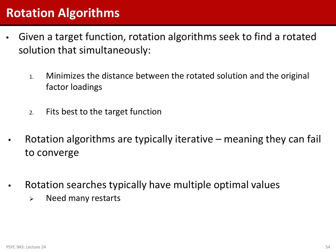### **Rotation Algorithms**

- Given a target function, rotation algorithms seek to find a rotated solution that simultaneously:
	- 1. Minimizes the distance between the rotated solution and the original factor loadings
	- 2. Fits best to the target function
	- Rotation algorithms are typically iterative meaning they can fail to converge
- Rotation searches typically have multiple optimal values
	- $\triangleright$  Need many restarts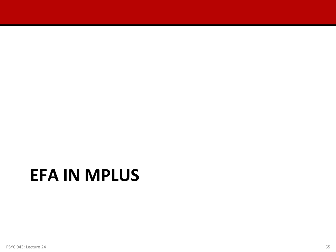# **EFA IN MPLUS**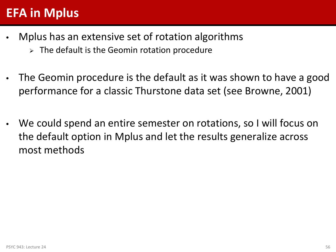### **EFA in Mplus**

- Mplus has an extensive set of rotation algorithms
	- $\triangleright$  The default is the Geomin rotation procedure
- The Geomin procedure is the default as it was shown to have a good performance for a classic Thurstone data set (see Browne, 2001)
- We could spend an entire semester on rotations, so I will focus on the default option in Mplus and let the results generalize across most methods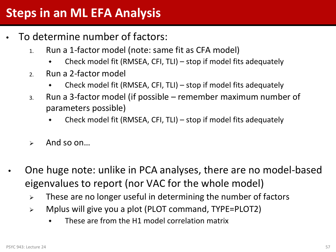### **Steps in an ML EFA Analysis**

- To determine number of factors:
	- 1. Run a 1-factor model (note: same fit as CFA model)
		- Check model fit (RMSEA, CFI, TLI) stop if model fits adequately
	- 2. Run a 2-factor model
		- Check model fit (RMSEA, CFI, TLI) stop if model fits adequately
	- 3. Run a 3-factor model (if possible remember maximum number of parameters possible)
		- Check model fit (RMSEA, CFI, TLI) stop if model fits adequately
	- $\triangleright$  And so on...
- One huge note: unlike in PCA analyses, there are no model-based eigenvalues to report (nor VAC for the whole model)
	- $\triangleright$  These are no longer useful in determining the number of factors
	- Mplus will give you a plot (PLOT command, TYPE=PLOT2)
		- These are from the H1 model correlation matrix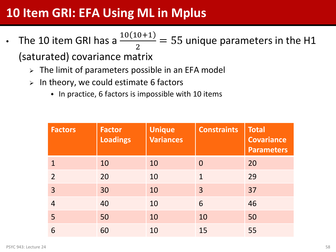### **10 Item GRI: EFA Using ML in Mplus**

- The 10 item GRI has a  $\frac{10(10+1)}{2}$ 2  $= 55$  unique parameters in the H1 (saturated) covariance matrix
	- $\triangleright$  The limit of parameters possible in an EFA model
	- $\triangleright$  In theory, we could estimate 6 factors
		- In practice, 6 factors is impossible with 10 items

| <b>Factors</b> | <b>Factor</b><br><b>Loadings</b> | <b>Unique</b><br>Variances | <b>Constraints</b> | <b>Total</b><br><b>Covariance</b><br><b>Parameters</b> |
|----------------|----------------------------------|----------------------------|--------------------|--------------------------------------------------------|
| 1              | 10                               | 10                         | $\Omega$           | 20                                                     |
| $\overline{2}$ | 20                               | 10                         | $\mathbf{1}$       | 29                                                     |
| 3              | 30                               | 10                         | 3                  | 37                                                     |
| $\overline{4}$ | 40                               | 10                         | 6                  | 46                                                     |
| 5              | 50                               | 10                         | 10                 | 50                                                     |
| 6              | 60                               | 10                         | 15                 | 55                                                     |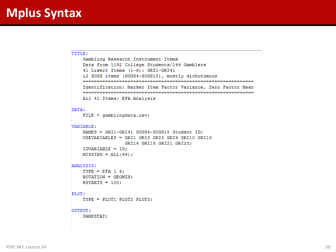```
TITIE:
   Gambling Research Instrument Items
   Data from 1192 College Students/144 Gamblers
   41 Likert Items (1-6): GRI1-GRI41
   12 SOGS items (SOGS4-SOGS15), mostly dichotomous
   Identification: Marker Item Factor Variance, Zero Factor Mean
   All 41 Items: EFA Analysis
DATA:
   FILE = gamblingdata.csv;VARIABLE:
   NAMES = GRI1-GRI41 SOGS4-SOGS15 Student ID;
   USEVARIABLES = GRI1 GRI3 GRI5 GRI9 GRI10 GRI13
               GRI14 GRI18 GRI21 GRI23;
   IDVARIABLE = ID;
   MISSING = ALL(99);
ANALYSIS:
   TYPE = EFA 1 6;
   ROTATION = GEOMIN;
   RSTARTS = 100;PLOT:
   TYPE = PLOT1 PLOT2 PLOT3;
OUTPUT:
   SAMPSTAT;
```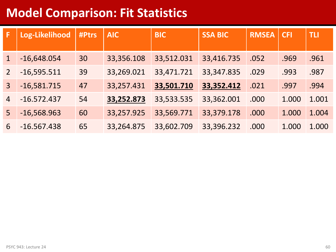### **Model Comparison: Fit Statistics**

| F              | Log-Likelihood | #Ptrs | <b>AIC</b> | <b>BIC</b> | <b>SSA BIC</b> | <b>RMSEA</b> | <b>CFI</b> | <b>TLI</b> |
|----------------|----------------|-------|------------|------------|----------------|--------------|------------|------------|
|                |                |       |            |            |                |              |            |            |
|                | $-16,648.054$  | 30    | 33,356.108 | 33,512.031 | 33,416.735     | .052         | .969       | .961       |
| $\overline{2}$ | $-16,595.511$  | 39    | 33,269.021 | 33,471.721 | 33, 347. 835   | .029         | .993       | .987       |
| $\overline{3}$ | $-16,581.715$  | 47    | 33,257.431 | 33,501.710 | 33,352.412     | .021         | .997       | .994       |
| $\overline{4}$ | $-16.572.437$  | 54    | 33,252.873 | 33,533.535 | 33,362.001     | .000         | 1.000      | 1.001      |
| 5              | $-16,568.963$  | 60    | 33,257.925 | 33,569.771 | 33,379.178     | .000         | 1.000      | 1.004      |
| 6              | $-16.567.438$  | 65    | 33,264.875 | 33,602.709 | 33,396.232     | .000         | 1.000      | 1.000      |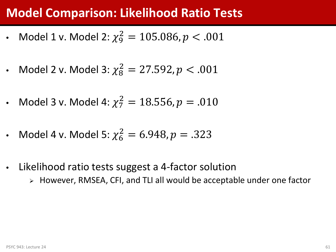### **Model Comparison: Likelihood Ratio Tests**

- Model 1 v. Model 2:  $\chi_9^2 = 105.086, p < .001$
- Model 2 v. Model 3:  $\chi^2_8 = 27.592, p < .001$
- Model 3 v. Model 4:  $\chi^2_7 = 18.556, p = .010$
- Model 4 v. Model 5:  $\chi_6^2 = 6.948, p = .323$
- Likelihood ratio tests suggest a 4-factor solution
	- However, RMSEA, CFI, and TLI all would be acceptable under one factor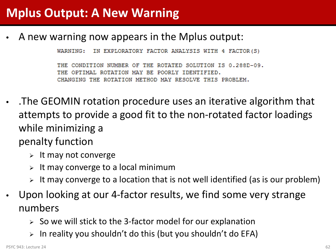### **Mplus Output: A New Warning**

• A new warning now appears in the Mplus output:

IN EXPLORATORY FACTOR ANALYSIS WITH 4 FACTOR(S) WARNING:

THE CONDITION NUMBER OF THE ROTATED SOLUTION IS 0.288D-09. OPTIMAL ROTATION MAY BE POORLY IDENTIFIED. CHANGING THE ROTATION METHOD MAY RESOLVE THIS PROBLEM.

- .The GEOMIN rotation procedure uses an iterative algorithm that attempts to provide a good fit to the non-rotated factor loadings while minimizing a penalty function
	- $\triangleright$  It may not converge
	- It may converge to a local minimum
	- $\triangleright$  It may converge to a location that is not well identified (as is our problem)
- Upon looking at our 4-factor results, we find some very strange numbers
	- $\geq$  So we will stick to the 3-factor model for our explanation
	- In reality you shouldn't do this (but you shouldn't do EFA)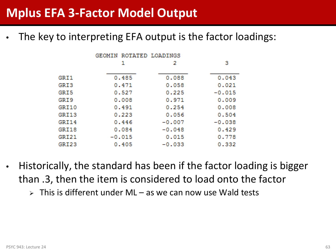The key to interpreting EFA output is the factor loadings:

|       | GEOMIN ROTATED LOADINGS |          |          |
|-------|-------------------------|----------|----------|
|       | 1                       | 2        | з        |
| GRI1  | 0.485                   | 0.088    | 0.043    |
| GRI3  | 0.471                   | 0.058    | 0.021    |
| GRI5  | 0.527                   | 0.225    | $-0.015$ |
| GRI 9 | 0.008                   | 0.971    | 0.009    |
| GRI10 | 0.491                   | 0.254    | 0.008    |
| GRI13 | 0.223                   | 0.056    | 0.504    |
| GRI14 | 0.446                   | $-0.007$ | $-0.038$ |
| GRI18 | 0.084                   | $-0.048$ | 0.429    |
| GRI21 | $-0.015$                | 0.015    | 0.778    |
| GRI23 | 0.405                   | $-0.033$ | 0.332    |
|       |                         |          |          |

- Historically, the standard has been if the factor loading is bigger than .3, then the item is considered to load onto the factor
	- $\triangleright$  This is different under ML as we can now use Wald tests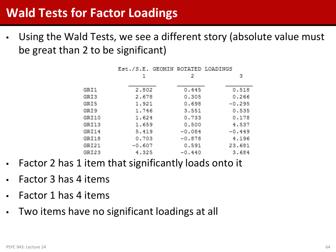Using the Wald Tests, we see a different story (absolute value must be great than 2 to be significant)

|       | Est./S.E. GEOMIN ROTATED LOADINGS |          |          |
|-------|-----------------------------------|----------|----------|
|       | 1                                 | 2        | з        |
|       |                                   |          |          |
| GRI1  | 2.802                             | 0.445    | 0.518    |
| GRI3  | 2.678                             | 0.305    | 0.266    |
| GRI5  | 1.921                             | 0.698    | $-0.295$ |
| GRI9  | 1.746                             | 3.551    | 0.535    |
| GRI10 | 1.624                             | 0.733    | 0.178    |
| GRI13 | 1.659                             | 0.500    | 4.537    |
| GRI14 | 5.419                             | $-0.084$ | $-0.449$ |
| GRI18 | 0.703                             | $-0.878$ | 4.196    |
| GRI21 | $-0.607$                          | 0.591    | 23.681   |
| GRI23 | 4.325                             | $-0.440$ | 3.684    |

- Factor 2 has 1 item that significantly loads onto it
- Factor 3 has 4 items
- Factor 1 has 4 items
- Two items have no significant loadings at all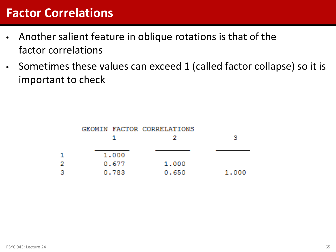### **Factor Correlations**

- Another salient feature in oblique rotations is that of the factor correlations
- Sometimes these values can exceed 1 (called factor collapse) so it is important to check

|   |       | GEOMIN FACTOR CORRELATIONS |       |
|---|-------|----------------------------|-------|
|   |       | -21                        | з     |
|   | 1,000 |                            |       |
| Ł | 0.677 | 1,000                      |       |
| 3 | 0.783 | 0.650                      | 1.000 |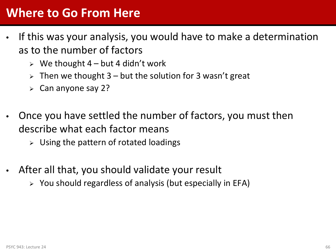### **Where to Go From Here**

- If this was your analysis, you would have to make a determination as to the number of factors
	- $\triangleright$  We thought 4 but 4 didn't work
	- $\triangleright$  Then we thought 3 but the solution for 3 wasn't great
	- $\triangleright$  Can anyone say 2?
- Once you have settled the number of factors, you must then describe what each factor means
	- $\triangleright$  Using the pattern of rotated loadings
- After all that, you should validate your result
	- $\triangleright$  You should regardless of analysis (but especially in EFA)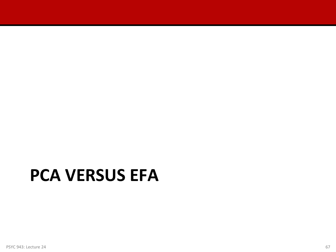# **PCA VERSUS EFA**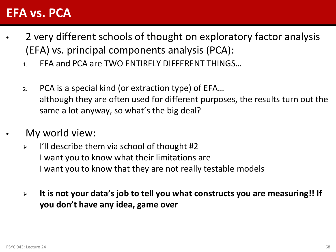### **EFA vs. PCA**

- 2 very different schools of thought on exploratory factor analysis (EFA) vs. principal components analysis (PCA):
	- 1. EFA and PCA are TWO ENTIRELY DIFFERENT THINGS…
	- 2. PCA is a special kind (or extraction type) of EFA… although they are often used for different purposes, the results turn out the same a lot anyway, so what's the big deal?
- My world view:
	- $\triangleright$  I'll describe them via school of thought #2 I want you to know what their limitations are I want you to know that they are not really testable models
	- **It is not your data's job to tell you what constructs you are measuring!! If you don't have any idea, game over**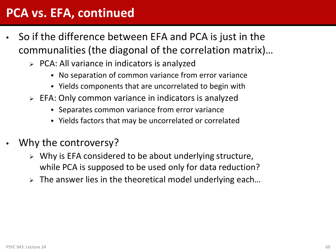### **PCA vs. EFA, continued**

- So if the difference between EFA and PCA is just in the communalities (the diagonal of the correlation matrix)…
	- $\triangleright$  PCA: All variance in indicators is analyzed
		- No separation of common variance from error variance
		- Yields components that are uncorrelated to begin with
	- EFA: Only common variance in indicators is analyzed
		- Separates common variance from error variance
		- Yields factors that may be uncorrelated or correlated
- Why the controversy?
	- $\triangleright$  Why is EFA considered to be about underlying structure, while PCA is supposed to be used only for data reduction?
	- $\triangleright$  The answer lies in the theoretical model underlying each...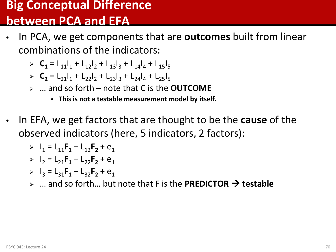#### **Big Conceptual Difference between PCA and EFA**

- In PCA, we get components that are **outcomes** built from linear combinations of the indicators:
	- $\sum_{1}$  **C<sub>1</sub>** = L<sub>11</sub>|<sub>1</sub> + L<sub>12</sub>|<sub>2</sub> + L<sub>13</sub>|<sub>3</sub> + L<sub>14</sub>|<sub>4</sub> + L<sub>15</sub>|<sub>5</sub>
	- **C<sub>2</sub>** = L<sub>21</sub>|<sub>1</sub> + L<sub>22</sub>|<sub>2</sub> + L<sub>23</sub>|<sub>3</sub> + L<sub>24</sub>|<sub>4</sub> + L<sub>25</sub>|<sub>5</sub>
	- … and so forth note that C is the **OUTCOME**
		- **This is not a testable measurement model by itself.**
- In EFA, we get factors that are thought to be the **cause** of the observed indicators (here, 5 indicators, 2 factors):

> 
$$
I_1 = L_{11}F_1 + L_{12}F_2 + e_1
$$

> 
$$
I_2 = L_{21}F_1 + L_{22}F_2 + e_1
$$

- $\triangleright$   $I_3 = L_{31}F_1 + L_{32}F_2 + e_1$
- $\triangleright$  ... and so forth... but note that F is the **PREDICTOR**  $\rightarrow$  **testable**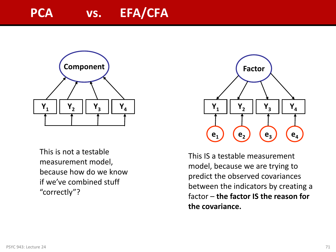### PCA vs. EFA/CFA



This is not a testable measurement model, because how do we know if we've combined stuff "correctly"?



This IS a testable measurement model, because we are trying to predict the observed covariances between the indicators by creating a factor – **the factor IS the reason for the covariance.**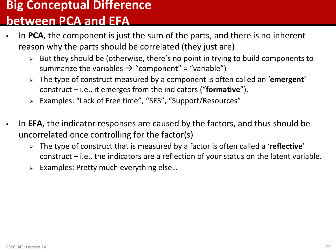#### **Big Conceptual Difference**

#### **between PCA and EFA**

- In **PCA**, the component is just the sum of the parts, and there is no inherent reason why the parts should be correlated (they just are)
	- $\triangleright$  But they should be (otherwise, there's no point in trying to build components to summarize the variables  $\rightarrow$  "component" = "variable")
	- The type of construct measured by a component is often called an '**emergent**' construct – i.e., it emerges from the indicators ("**formative**").
	- Examples: "Lack of Free time", "SES", "Support/Resources"
- In **EFA**, the indicator responses are caused by the factors, and thus should be uncorrelated once controlling for the factor(s)
	- The type of construct that is measured by a factor is often called a '**reflective**' construct – i.e., the indicators are a reflection of your status on the latent variable.
	- $\triangleright$  Examples: Pretty much everything else...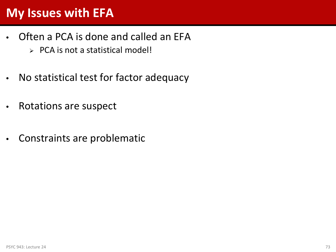#### **My Issues with EFA**

- Often a PCA is done and called an EFA
	- $\triangleright$  PCA is not a statistical model!
- No statistical test for factor adequacy
- Rotations are suspect
- Constraints are problematic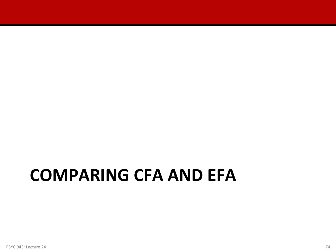## **COMPARING CFA AND EFA**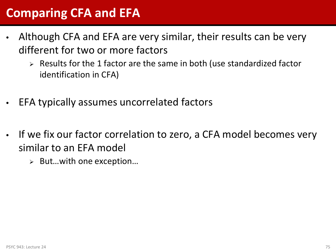#### **Comparing CFA and EFA**

- Although CFA and EFA are very similar, their results can be very different for two or more factors
	- $\triangleright$  Results for the 1 factor are the same in both (use standardized factor identification in CFA)
- EFA typically assumes uncorrelated factors
- If we fix our factor correlation to zero, a CFA model becomes very similar to an EFA model
	- But…with one exception…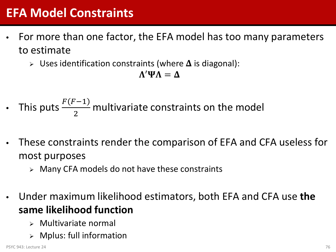#### **EFA Model Constraints**

- For more than one factor, the EFA model has too many parameters to estimate
	- $\triangleright$  Uses identification constraints (where  $\Delta$  is diagonal):

$$
\Lambda'\Psi\Lambda=\Delta
$$

- This puts  $\frac{F(F-1)}{2}$ 2 multivariate constraints on the model
- These constraints render the comparison of EFA and CFA useless for most purposes
	- $\triangleright$  Many CFA models do not have these constraints
- Under maximum likelihood estimators, both EFA and CFA use **the same likelihood function**
	- $\triangleright$  Multivariate normal
	- $\triangleright$  Mplus: full information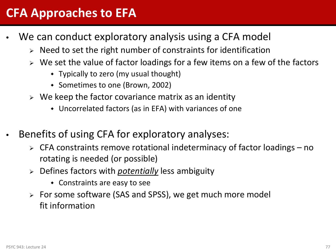#### **CFA Approaches to EFA**

- We can conduct exploratory analysis using a CFA model
	- $\triangleright$  Need to set the right number of constraints for identification
	- $\triangleright$  We set the value of factor loadings for a few items on a few of the factors
		- Typically to zero (my usual thought)
		- Sometimes to one (Brown, 2002)
	- $\triangleright$  We keep the factor covariance matrix as an identity
		- Uncorrelated factors (as in EFA) with variances of one
- Benefits of using CFA for exploratory analyses:
	- $\triangleright$  CFA constraints remove rotational indeterminacy of factor loadings no rotating is needed (or possible)
	- Defines factors with *potentially* less ambiguity
		- Constraints are easy to see
	- For some software (SAS and SPSS), we get much more model fit information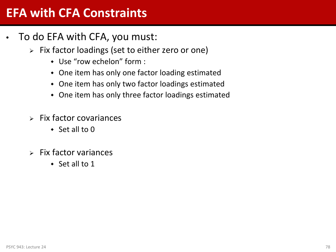#### **EFA with CFA Constraints**

- To do EFA with CFA, you must:
	- $\triangleright$  Fix factor loadings (set to either zero or one)
		- Use "row echelon" form :
		- One item has only one factor loading estimated
		- One item has only two factor loadings estimated
		- One item has only three factor loadings estimated
	- $\triangleright$  Fix factor covariances
		- $\triangleleft$  Set all to 0
	- $\triangleright$  Fix factor variances
		- $\cdot$  Set all to 1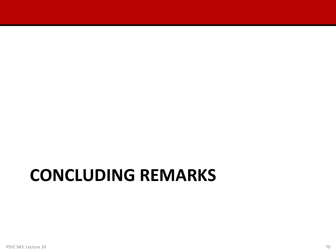# **CONCLUDING REMARKS**